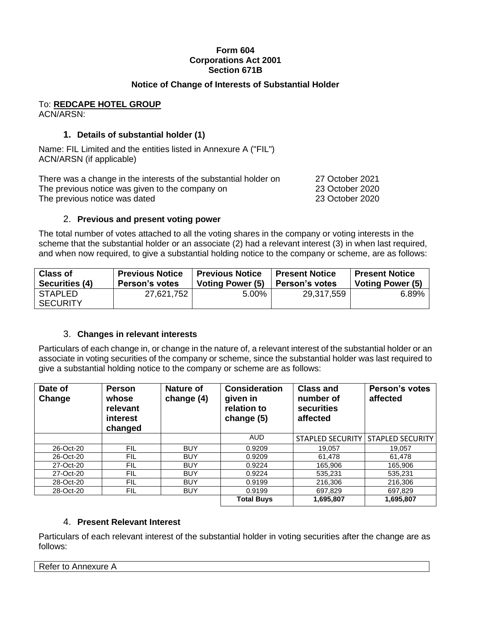## **Form 604 Corporations Act 2001 Section 671B**

# **Notice of Change of Interests of Substantial Holder**

#### To: **REDCAPE HOTEL GROUP** ACN/ARSN:

# **1. Details of substantial holder (1)**

Name: FIL Limited and the entities listed in Annexure A ("FIL") ACN/ARSN (if applicable)

There was a change in the interests of the substantial holder on 27 October 2021 The previous notice was given to the company on 23 October 2020 The previous notice was dated 23 October 2020

### 2. **Previous and present voting power**

The total number of votes attached to all the voting shares in the company or voting interests in the scheme that the substantial holder or an associate (2) had a relevant interest (3) in when last required, and when now required, to give a substantial holding notice to the company or scheme, are as follows:

| <b>Class of</b>                   | <b>Previous Notice</b> | <b>Previous Notice</b>  | ' Present Notice | <b>Present Notice</b> |
|-----------------------------------|------------------------|-------------------------|------------------|-----------------------|
| Securities (4)                    | <b>Person's votes</b>  | <b>Voting Power (5)</b> | ∣ Person's votes | Voting Power (5)      |
| <b>STAPLED</b><br><b>SECURITY</b> | 27,621,752             | 5.00%                   | 29,317,559       | 6.89%                 |

## 3. **Changes in relevant interests**

Particulars of each change in, or change in the nature of, a relevant interest of the substantial holder or an associate in voting securities of the company or scheme, since the substantial holder was last required to give a substantial holding notice to the company or scheme are as follows:

| Date of<br>Change | <b>Person</b><br>whose<br>relevant<br><b>interest</b><br>changed | <b>Nature of</b><br>change (4) | <b>Consideration</b><br>given in<br>relation to<br>change (5) | <b>Class and</b><br>number of<br>securities<br>affected | <b>Person's votes</b><br>affected   |
|-------------------|------------------------------------------------------------------|--------------------------------|---------------------------------------------------------------|---------------------------------------------------------|-------------------------------------|
|                   |                                                                  |                                | <b>AUD</b>                                                    |                                                         | STAPLED SECURITY   STAPLED SECURITY |
| 26-Oct-20         | FIL                                                              | <b>BUY</b>                     | 0.9209                                                        | 19.057                                                  | 19.057                              |
| 26-Oct-20         | FIL                                                              | <b>BUY</b>                     | 0.9209                                                        | 61.478                                                  | 61.478                              |
| 27-Oct-20         | FIL                                                              | <b>BUY</b>                     | 0.9224                                                        | 165.906                                                 | 165.906                             |
| 27-Oct-20         | <b>FIL</b>                                                       | <b>BUY</b>                     | 0.9224                                                        | 535.231                                                 | 535.231                             |
| 28-Oct-20         | <b>FIL</b>                                                       | <b>BUY</b>                     | 0.9199                                                        | 216,306                                                 | 216,306                             |
| 28-Oct-20         | <b>FIL</b>                                                       | <b>BUY</b>                     | 0.9199                                                        | 697.829                                                 | 697.829                             |
|                   |                                                                  |                                | <b>Total Buys</b>                                             | 1,695,807                                               | 1,695,807                           |

# 4. **Present Relevant Interest**

Particulars of each relevant interest of the substantial holder in voting securities after the change are as follows:

Refer to Annexure A